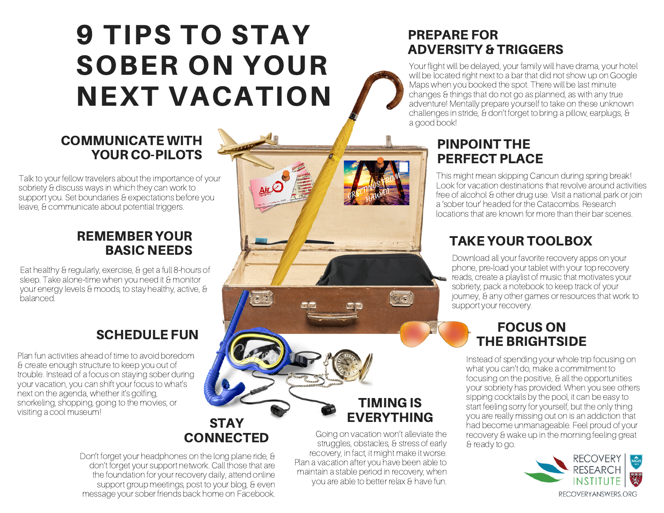# 9 TIPS TO STAY SOBER ON YOUR NEXT VACATION

#### COMMUNICATE WITH YOUR CO-PILOTS

Talk to your fellow travelers about the importance of your sobriety & discuss ways in which they can work to support you. Set boundaries & expectations before you leave, & communicate about potential triggers.

#### REMEMBER YOUR BASIC NEEDS

Eat healthy & regularly, exercise, & get a full 8-hours of sleep. Take alone-time when you need it & monitor your energy levels & moods, to stay healthy, active, & balanced.

# SCHEDULE FUN

Plan fun activities ahead of time to avoid boredom & create enough structure to keep you out of trouble. Instead of a focus on staying sober during your vacation, you can shift your focus to what's next on the agenda, whether it's golfing, snorkeling, shopping, going to the movies, or visiting a cool museum!

#### **STAY CONNECTED**

Don't forget your headphones on the long plane ride, & don't forget your support network. Call those that are the foundation for your recovery daily, attend online support group meetings, post to your blog, & even message your sober friends back home on Facebook.

## PREPARE FOR ADVERSITY & TRIGGERS

Your flight will be delayed, your family will have drama, your hotel will be located right next to a bar that did not show up on Google Maps when you booked the spot. There will be last minute changes & things that do not go as planned, as with any true adventure! Mentally prepare yourself to take on these unknown challenges in stride, & don't forget to bring a pillow, earplugs, & a good book!

# PINPOINT THE PERFECT PLACE

This might mean skipping Cancun during spring break! Look for vacation destinations that revolve around activities free of alcohol & other drug use. Visit a national park or join a 'sober tour' headed for the Catacombs. Research locations that are known for more than their bar scenes.

# TAKE YOUR TOOLBOX

Download all your favorite recovery apps on your phone, pre-load your tablet with your top recovery reads, create a playlist of music that motivates your sobriety, pack a notebook to keep track of your journey, & any other games or resources that work to support your recovery.

## FOCUS ON THE BRIGHTSIDE

Instead of spending your whole trip focusing on what you can't do, make a commitment to focusing on the positive, & all the opportunities your sobriety has provided. When you see others sipping cocktails by the pool, it can be easy to start feeling sorry for yourself, but the only thing you are really missing out on is an addiction that had become unmanageable. Feel proud of your recovery & wake up in the morning feeling great & ready to go.



Going on vacation won't alleviate the struggles, obstacles, & stress of early recovery, in fact, it might make it worse. Plan a vacation after you have been able to maintain a stable period in recovery, when you are able to better relax & have fun.

TIMING IS EVERYTHING

HO

GREETINGS FROM HAWAI)